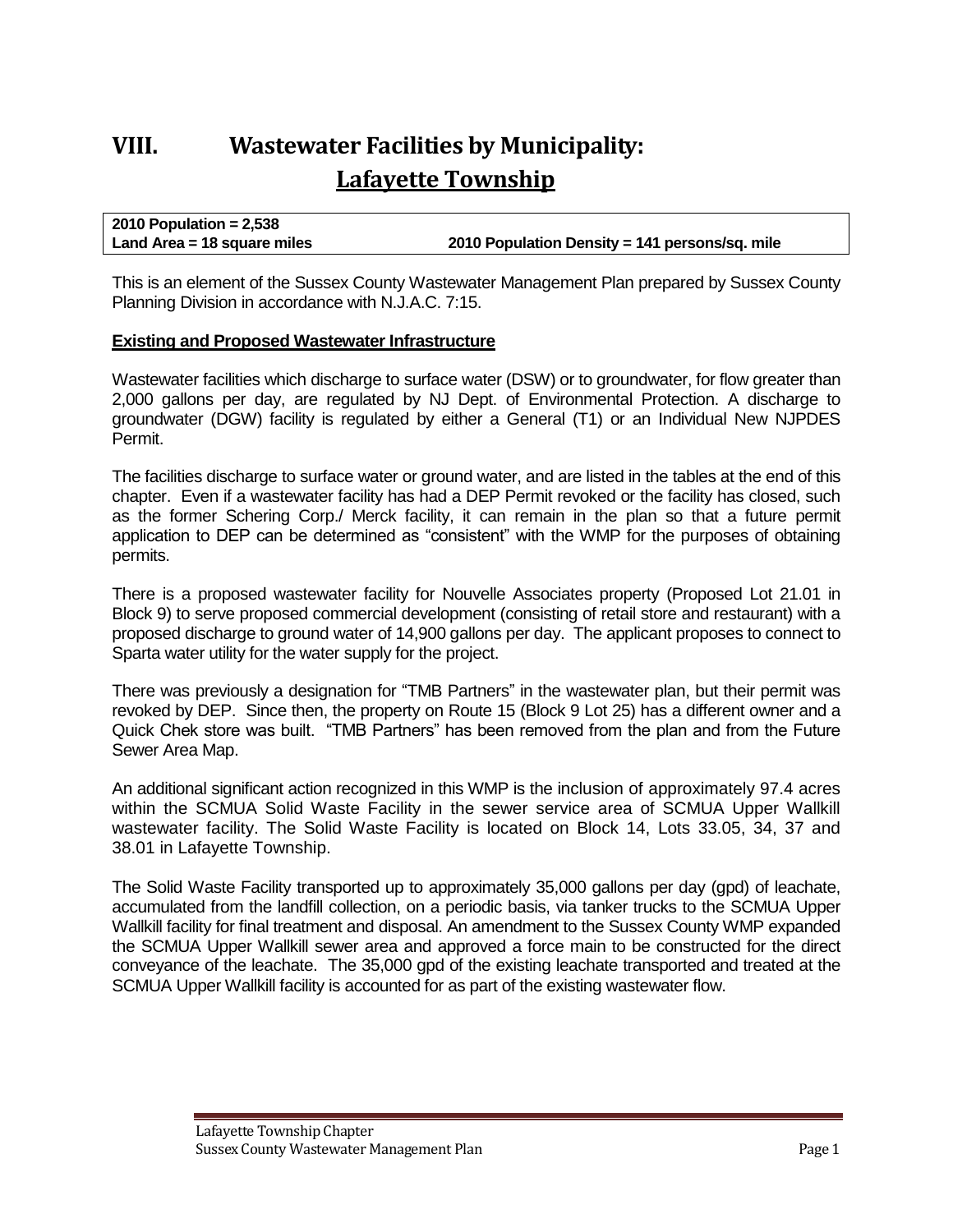# **VIII. Wastewater Facilities by Municipality: Lafayette Township**

| 2010 Population = $2,538$     |                                                |
|-------------------------------|------------------------------------------------|
| Land Area $=$ 18 square miles | 2010 Population Density = 141 persons/sq. mile |

This is an element of the Sussex County Wastewater Management Plan prepared by Sussex County Planning Division in accordance with N.J.A.C. 7:15.

#### **Existing and Proposed Wastewater Infrastructure**

Wastewater facilities which discharge to surface water (DSW) or to groundwater, for flow greater than 2,000 gallons per day, are regulated by NJ Dept. of Environmental Protection. A discharge to groundwater (DGW) facility is regulated by either a General (T1) or an Individual New NJPDES Permit.

The facilities discharge to surface water or ground water, and are listed in the tables at the end of this chapter. Even if a wastewater facility has had a DEP Permit revoked or the facility has closed, such as the former Schering Corp./ Merck facility, it can remain in the plan so that a future permit application to DEP can be determined as "consistent" with the WMP for the purposes of obtaining permits.

There is a proposed wastewater facility for Nouvelle Associates property (Proposed Lot 21.01 in Block 9) to serve proposed commercial development (consisting of retail store and restaurant) with a proposed discharge to ground water of 14,900 gallons per day. The applicant proposes to connect to Sparta water utility for the water supply for the project.

There was previously a designation for "TMB Partners" in the wastewater plan, but their permit was revoked by DEP. Since then, the property on Route 15 (Block 9 Lot 25) has a different owner and a Quick Chek store was built. "TMB Partners" has been removed from the plan and from the Future Sewer Area Map.

An additional significant action recognized in this WMP is the inclusion of approximately 97.4 acres within the SCMUA Solid Waste Facility in the sewer service area of SCMUA Upper Wallkill wastewater facility. The Solid Waste Facility is located on Block 14, Lots 33.05, 34, 37 and 38.01 in Lafayette Township.

The Solid Waste Facility transported up to approximately 35,000 gallons per day (gpd) of leachate, accumulated from the landfill collection, on a periodic basis, via tanker trucks to the SCMUA Upper Wallkill facility for final treatment and disposal. An amendment to the Sussex County WMP expanded the SCMUA Upper Wallkill sewer area and approved a force main to be constructed for the direct conveyance of the leachate. The 35,000 gpd of the existing leachate transported and treated at the SCMUA Upper Wallkill facility is accounted for as part of the existing wastewater flow.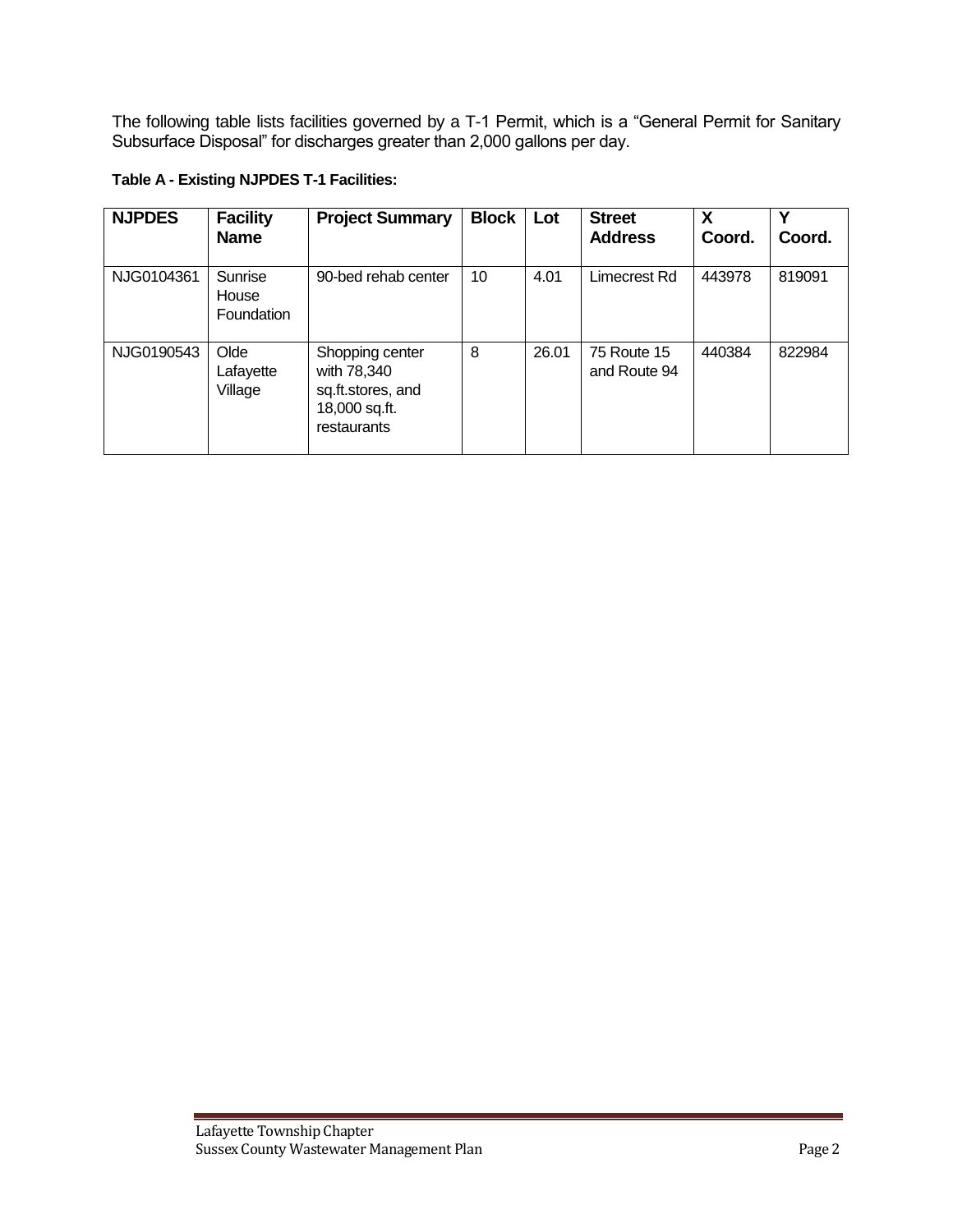The following table lists facilities governed by a T-1 Permit, which is a "General Permit for Sanitary Subsurface Disposal" for discharges greater than 2,000 gallons per day.

| <b>NJPDES</b> | <b>Facility</b><br><b>Name</b> | <b>Project Summary</b>                                                              | <b>Block</b> | Lot   | <b>Street</b><br><b>Address</b> | χ<br>Coord. | Coord. |
|---------------|--------------------------------|-------------------------------------------------------------------------------------|--------------|-------|---------------------------------|-------------|--------|
| NJG0104361    | Sunrise<br>House<br>Foundation | 90-bed rehab center                                                                 | 10           | 4.01  | Limecrest Rd                    | 443978      | 819091 |
| NJG0190543    | Olde<br>Lafayette<br>Village   | Shopping center<br>with 78,340<br>sq.ft.stores, and<br>18,000 sq.ft.<br>restaurants | 8            | 26.01 | 75 Route 15<br>and Route 94     | 440384      | 822984 |

#### **Table A - Existing NJPDES T-1 Facilities:**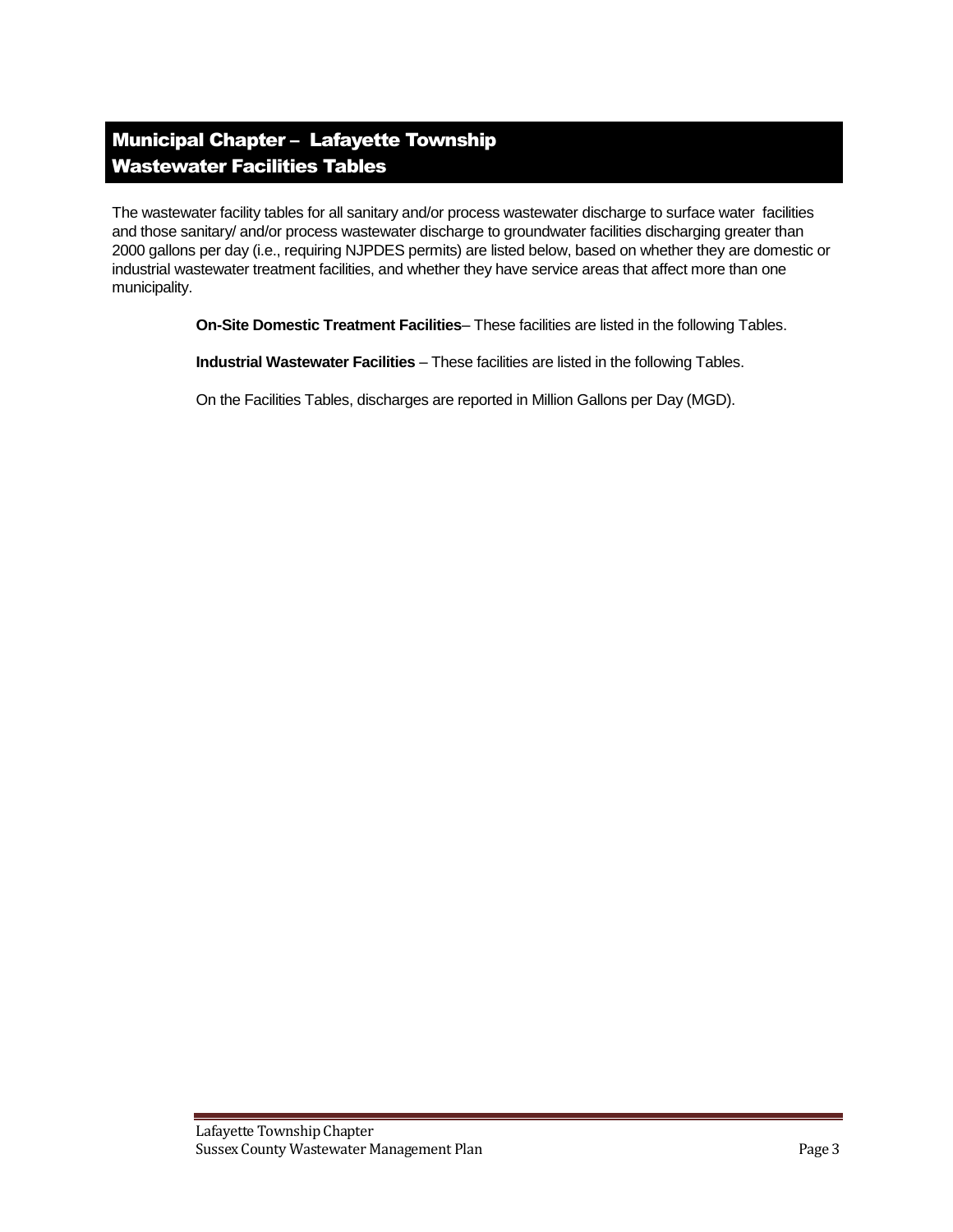## Municipal Chapter – Lafayette Township Wastewater Facilities Tables

The wastewater facility tables for all sanitary and/or process wastewater discharge to surface water facilities and those sanitary/ and/or process wastewater discharge to groundwater facilities discharging greater than 2000 gallons per day (i.e., requiring NJPDES permits) are listed below, based on whether they are domestic or industrial wastewater treatment facilities, and whether they have service areas that affect more than one municipality.

**On-Site Domestic Treatment Facilities**– These facilities are listed in the following Tables.

**Industrial Wastewater Facilities** – These facilities are listed in the following Tables.

On the Facilities Tables, discharges are reported in Million Gallons per Day (MGD).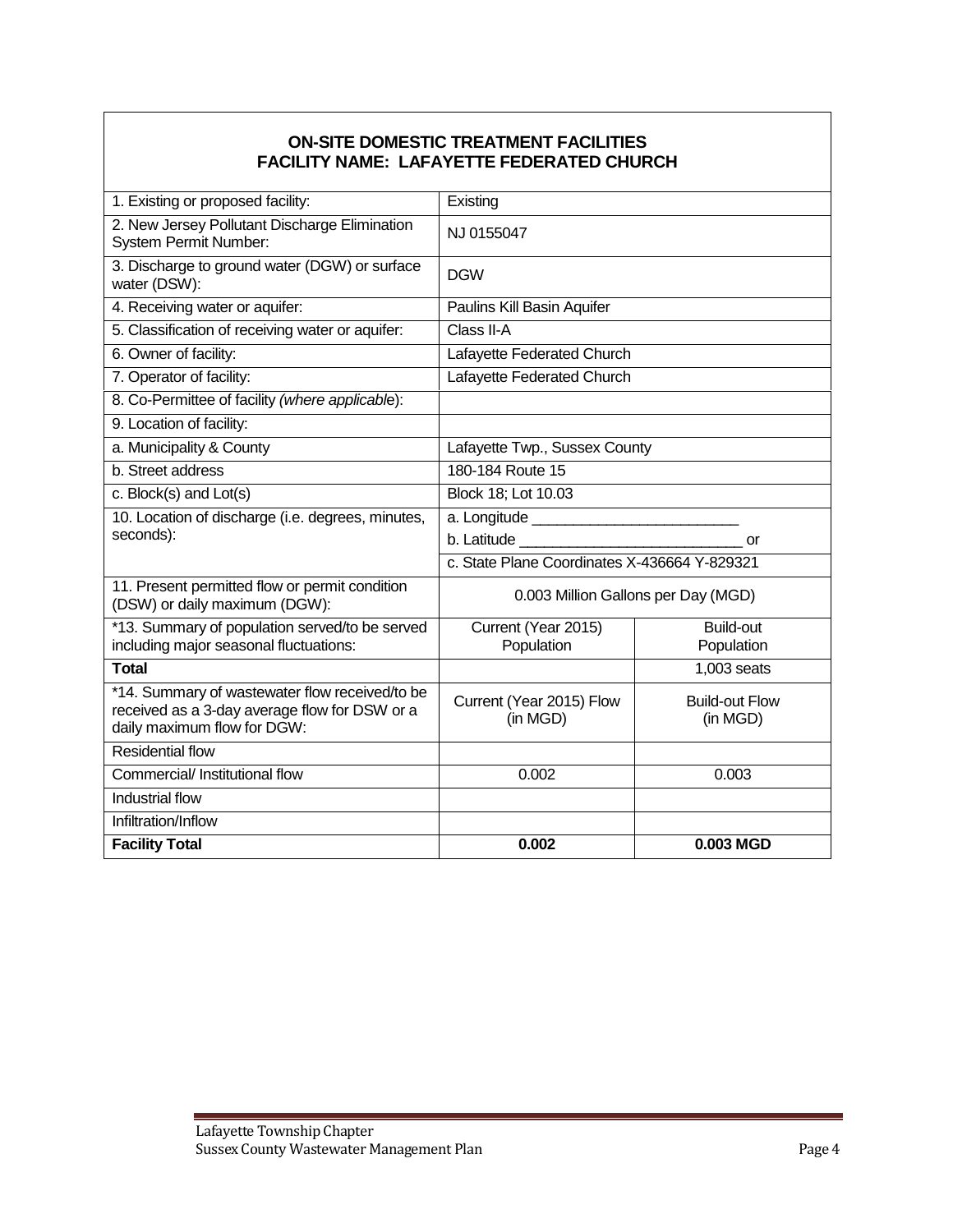#### **ON-SITE DOMESTIC TREATMENT FACILITIES FACILITY NAME: LAFAYETTE FEDERATED CHURCH**

| 1. Existing or proposed facility:                                               | Existing                                     |                       |  |  |
|---------------------------------------------------------------------------------|----------------------------------------------|-----------------------|--|--|
| 2. New Jersey Pollutant Discharge Elimination<br><b>System Permit Number:</b>   | NJ 0155047                                   |                       |  |  |
| 3. Discharge to ground water (DGW) or surface<br>water (DSW):                   | <b>DGW</b>                                   |                       |  |  |
| 4. Receiving water or aquifer:                                                  | Paulins Kill Basin Aquifer                   |                       |  |  |
| 5. Classification of receiving water or aquifer:                                | Class II- $\overline{A}$                     |                       |  |  |
| 6. Owner of facility:                                                           | Lafayette Federated Church                   |                       |  |  |
| 7. Operator of facility:                                                        | Lafayette Federated Church                   |                       |  |  |
| 8. Co-Permittee of facility (where applicable):                                 |                                              |                       |  |  |
| 9. Location of facility:                                                        |                                              |                       |  |  |
| a. Municipality & County                                                        | Lafayette Twp., Sussex County                |                       |  |  |
| b. Street address                                                               | 180-184 Route 15                             |                       |  |  |
| c. Block(s) and Lot(s)                                                          | Block 18; Lot 10.03                          |                       |  |  |
| 10. Location of discharge (i.e. degrees, minutes,                               |                                              |                       |  |  |
| seconds):                                                                       |                                              | or                    |  |  |
|                                                                                 | c. State Plane Coordinates X-436664 Y-829321 |                       |  |  |
| 11. Present permitted flow or permit condition<br>(DSW) or daily maximum (DGW): | 0.003 Million Gallons per Day (MGD)          |                       |  |  |
| *13. Summary of population served/to be served                                  | Current (Year 2015)                          | <b>Build-out</b>      |  |  |
| including major seasonal fluctuations:                                          | Population                                   | Population            |  |  |
| <b>Total</b>                                                                    |                                              | 1,003 seats           |  |  |
| *14. Summary of wastewater flow received/to be                                  | Current (Year 2015) Flow                     | <b>Build-out Flow</b> |  |  |
| received as a 3-day average flow for DSW or a<br>daily maximum flow for DGW:    | (in MGD)                                     | (in MGD)              |  |  |
| <b>Residential flow</b>                                                         |                                              |                       |  |  |
| Commercial/ Institutional flow                                                  | 0.002                                        | 0.003                 |  |  |
| <b>Industrial flow</b>                                                          |                                              |                       |  |  |
| Infiltration/Inflow                                                             |                                              |                       |  |  |
| <b>Facility Total</b>                                                           | 0.002                                        | 0.003 MGD             |  |  |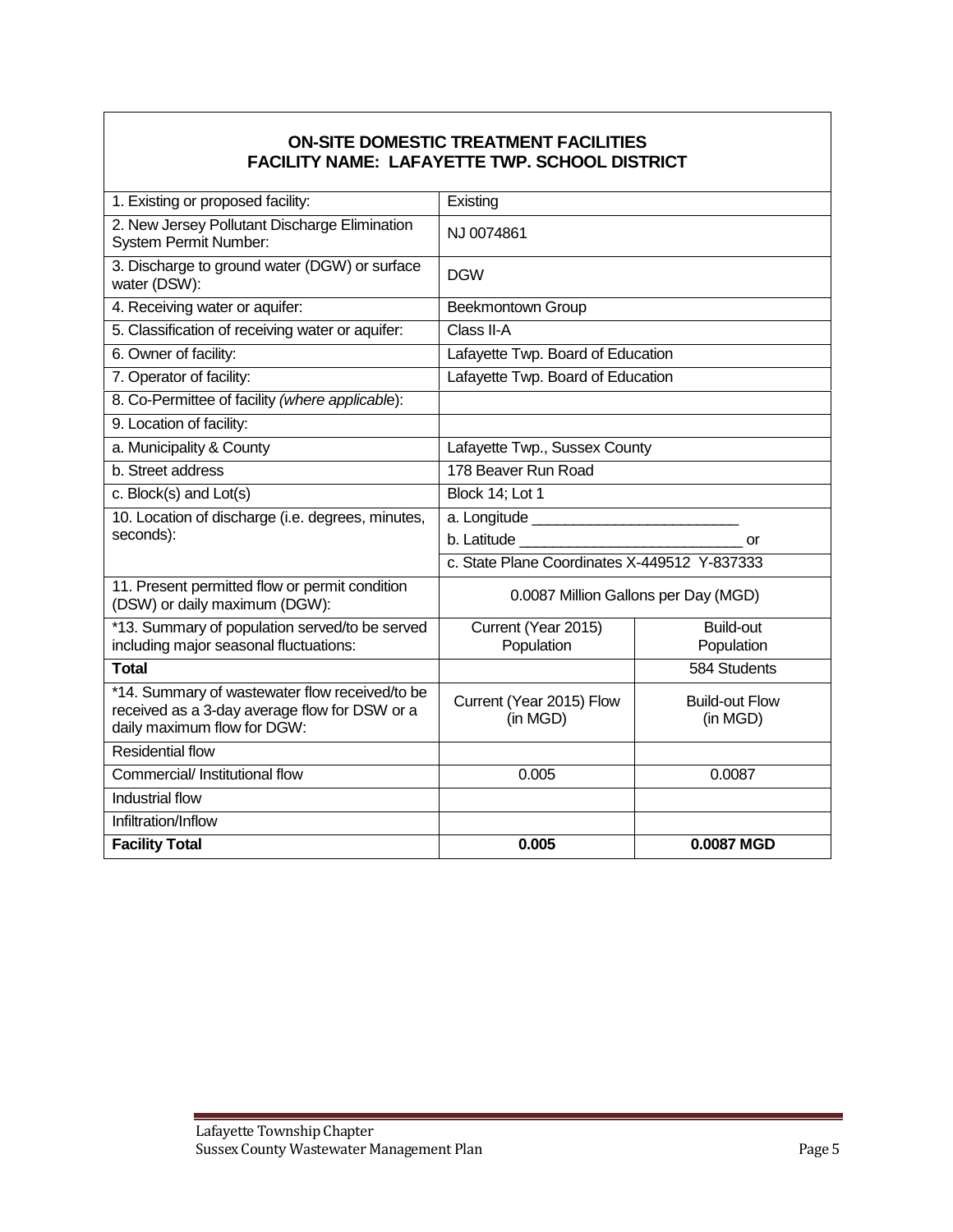### **ON-SITE DOMESTIC TREATMENT FACILITIES FACILITY NAME: LAFAYETTE TWP. SCHOOL DISTRICT**

| 1. Existing or proposed facility:                                                               | Existing                                     |                       |  |  |
|-------------------------------------------------------------------------------------------------|----------------------------------------------|-----------------------|--|--|
| 2. New Jersey Pollutant Discharge Elimination<br>System Permit Number:                          | NJ 0074861                                   |                       |  |  |
| 3. Discharge to ground water (DGW) or surface<br>water (DSW):                                   | <b>DGW</b>                                   |                       |  |  |
| 4. Receiving water or aquifer:                                                                  | <b>Beekmontown Group</b>                     |                       |  |  |
| 5. Classification of receiving water or aquifer:                                                | Class II-A                                   |                       |  |  |
| 6. Owner of facility:                                                                           | Lafayette Twp. Board of Education            |                       |  |  |
| 7. Operator of facility:                                                                        | Lafayette Twp. Board of Education            |                       |  |  |
| 8. Co-Permittee of facility (where applicable):                                                 |                                              |                       |  |  |
| 9. Location of facility:                                                                        |                                              |                       |  |  |
| a. Municipality & County                                                                        | Lafayette Twp., Sussex County                |                       |  |  |
| b. Street address                                                                               | 178 Beaver Run Road                          |                       |  |  |
| c. Block(s) and Lot(s)                                                                          | Block 14; Lot 1                              |                       |  |  |
| 10. Location of discharge (i.e. degrees, minutes,                                               |                                              |                       |  |  |
| seconds):                                                                                       | b. Latitude<br>or                            |                       |  |  |
|                                                                                                 | c. State Plane Coordinates X-449512 Y-837333 |                       |  |  |
| 11. Present permitted flow or permit condition<br>(DSW) or daily maximum (DGW):                 | 0.0087 Million Gallons per Day (MGD)         |                       |  |  |
| *13. Summary of population served/to be served                                                  | Current (Year 2015)                          | <b>Build-out</b>      |  |  |
| including major seasonal fluctuations:                                                          | Population                                   | Population            |  |  |
| <b>Total</b>                                                                                    |                                              | 584 Students          |  |  |
| *14. Summary of wastewater flow received/to be<br>received as a 3-day average flow for DSW or a | Current (Year 2015) Flow                     | <b>Build-out Flow</b> |  |  |
| daily maximum flow for DGW:                                                                     | (in MGD)                                     | (in MGD)              |  |  |
| <b>Residential flow</b>                                                                         |                                              |                       |  |  |
| Commercial/ Institutional flow                                                                  | 0.005                                        | 0.0087                |  |  |
| Industrial flow                                                                                 |                                              |                       |  |  |
| Infiltration/Inflow                                                                             |                                              |                       |  |  |
| <b>Facility Total</b>                                                                           | 0.005                                        | 0.0087 MGD            |  |  |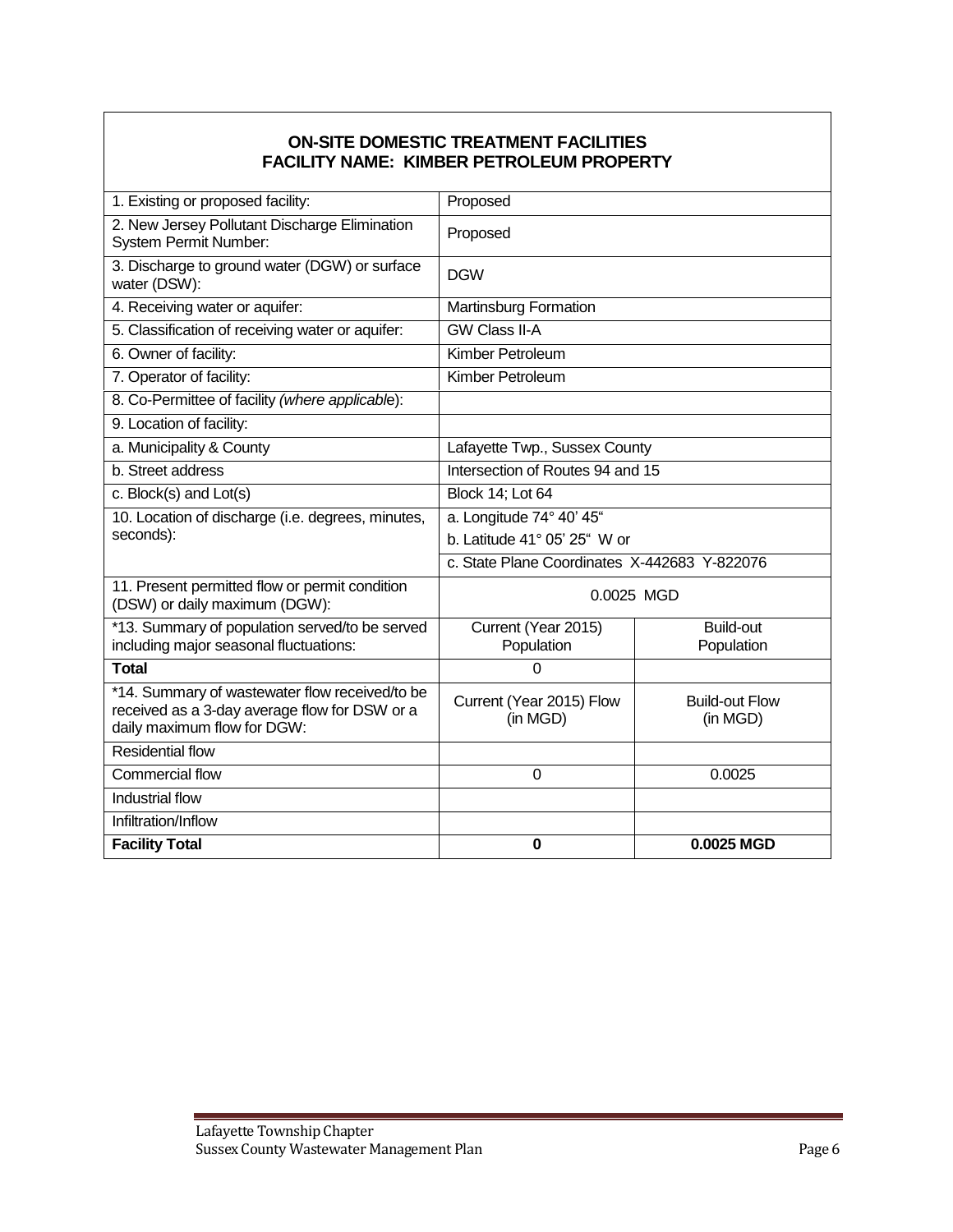#### **ON-SITE DOMESTIC TREATMENT FACILITIES FACILITY NAME: KIMBER PETROLEUM PROPERTY**

| 1. Existing or proposed facility:                                                                                              | Proposed                                     |                                   |  |  |
|--------------------------------------------------------------------------------------------------------------------------------|----------------------------------------------|-----------------------------------|--|--|
| 2. New Jersey Pollutant Discharge Elimination<br>System Permit Number:                                                         | Proposed                                     |                                   |  |  |
| 3. Discharge to ground water (DGW) or surface<br>water (DSW):                                                                  | <b>DGW</b>                                   |                                   |  |  |
| 4. Receiving water or aquifer:                                                                                                 | Martinsburg Formation                        |                                   |  |  |
| 5. Classification of receiving water or aquifer:                                                                               | <b>GW Class II-A</b>                         |                                   |  |  |
| 6. Owner of facility:                                                                                                          | Kimber Petroleum                             |                                   |  |  |
| 7. Operator of facility:                                                                                                       | Kimber Petroleum                             |                                   |  |  |
| 8. Co-Permittee of facility (where applicable):                                                                                |                                              |                                   |  |  |
| 9. Location of facility:                                                                                                       |                                              |                                   |  |  |
| a. Municipality & County                                                                                                       | Lafayette Twp., Sussex County                |                                   |  |  |
| b. Street address                                                                                                              | Intersection of Routes 94 and 15             |                                   |  |  |
| c. Block(s) and Lot(s)                                                                                                         | <b>Block 14; Lot 64</b>                      |                                   |  |  |
| 10. Location of discharge (i.e. degrees, minutes,                                                                              | a. Longitude 74° 40' 45"                     |                                   |  |  |
| seconds):                                                                                                                      | b. Latitude 41° 05' 25" W or                 |                                   |  |  |
|                                                                                                                                | c. State Plane Coordinates X-442683 Y-822076 |                                   |  |  |
| 11. Present permitted flow or permit condition<br>(DSW) or daily maximum (DGW):                                                | 0.0025 MGD                                   |                                   |  |  |
| *13. Summary of population served/to be served                                                                                 | Current (Year 2015)                          | <b>Build-out</b>                  |  |  |
| including major seasonal fluctuations:                                                                                         | Population                                   | Population                        |  |  |
| <b>Total</b>                                                                                                                   | $\mathbf 0$                                  |                                   |  |  |
| *14. Summary of wastewater flow received/to be<br>received as a 3-day average flow for DSW or a<br>daily maximum flow for DGW: | Current (Year 2015) Flow<br>(in MGD)         | <b>Build-out Flow</b><br>(in MGD) |  |  |
| <b>Residential flow</b>                                                                                                        |                                              |                                   |  |  |
| Commercial flow                                                                                                                | $\mathbf 0$                                  | 0.0025                            |  |  |
| Industrial flow                                                                                                                |                                              |                                   |  |  |
| Infiltration/Inflow                                                                                                            |                                              |                                   |  |  |
| <b>Facility Total</b>                                                                                                          | 0                                            | 0.0025 MGD                        |  |  |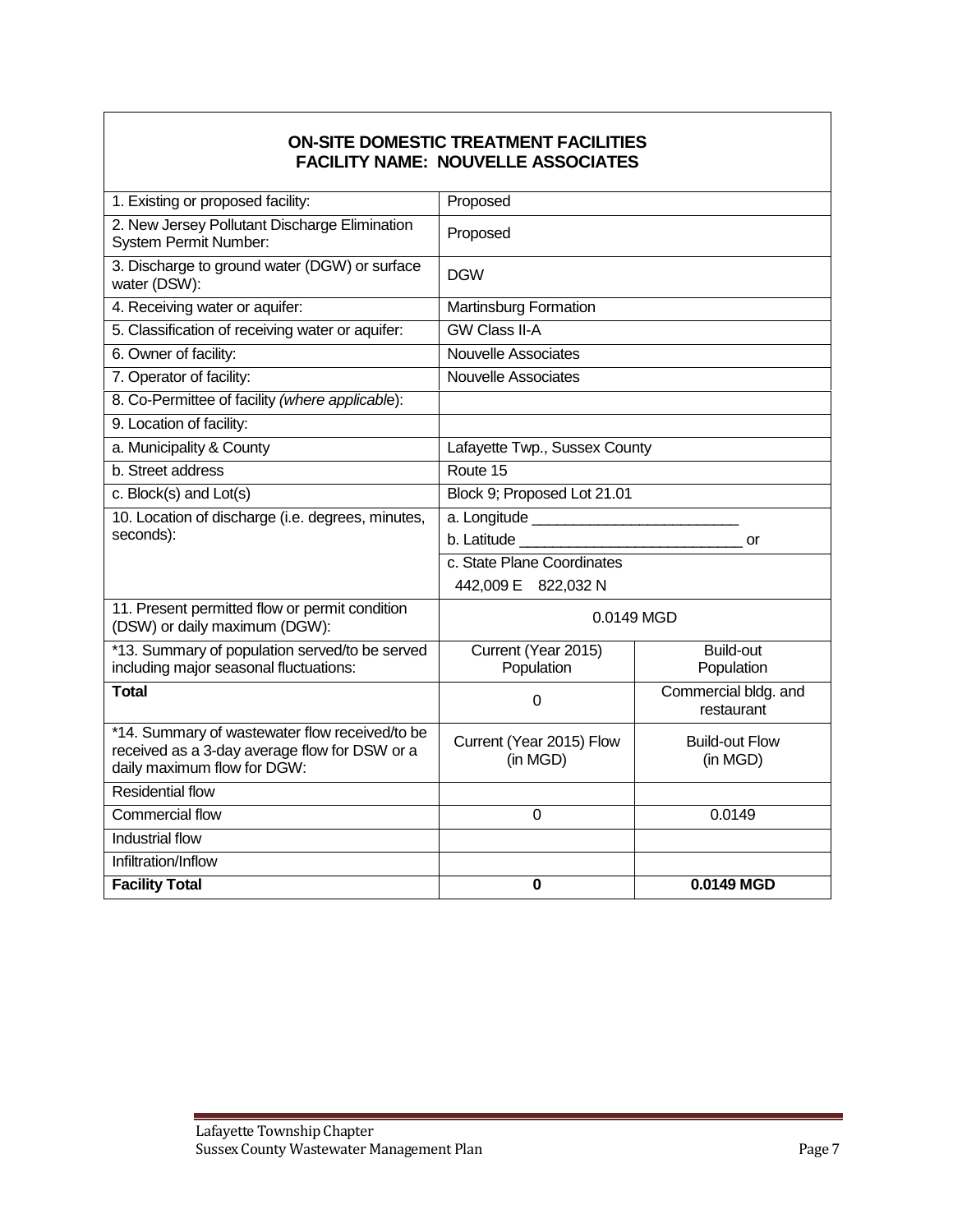#### **ON-SITE DOMESTIC TREATMENT FACILITIES FACILITY NAME: NOUVELLE ASSOCIATES**

| 1. Existing or proposed facility:                                                                                              | Proposed                             |                                    |  |  |
|--------------------------------------------------------------------------------------------------------------------------------|--------------------------------------|------------------------------------|--|--|
| 2. New Jersey Pollutant Discharge Elimination<br>System Permit Number:                                                         | Proposed                             |                                    |  |  |
| 3. Discharge to ground water (DGW) or surface<br>water (DSW):                                                                  | <b>DGW</b>                           |                                    |  |  |
| 4. Receiving water or aquifer:                                                                                                 | <b>Martinsburg Formation</b>         |                                    |  |  |
| 5. Classification of receiving water or aquifer:                                                                               | <b>GW Class II-A</b>                 |                                    |  |  |
| 6. Owner of facility:                                                                                                          | Nouvelle Associates                  |                                    |  |  |
| 7. Operator of facility:                                                                                                       | <b>Nouvelle Associates</b>           |                                    |  |  |
| 8. Co-Permittee of facility (where applicable):                                                                                |                                      |                                    |  |  |
| 9. Location of facility:                                                                                                       |                                      |                                    |  |  |
| a. Municipality & County                                                                                                       | Lafayette Twp., Sussex County        |                                    |  |  |
| b. Street address                                                                                                              | Route 15                             |                                    |  |  |
| c. Block(s) and Lot(s)                                                                                                         | Block 9; Proposed Lot 21.01          |                                    |  |  |
| 10. Location of discharge (i.e. degrees, minutes,                                                                              |                                      |                                    |  |  |
| seconds):                                                                                                                      |                                      |                                    |  |  |
|                                                                                                                                | c. State Plane Coordinates           |                                    |  |  |
|                                                                                                                                | 442,009 E 822,032 N                  |                                    |  |  |
| 11. Present permitted flow or permit condition<br>(DSW) or daily maximum (DGW):                                                | 0.0149 MGD                           |                                    |  |  |
| *13. Summary of population served/to be served                                                                                 | Current (Year 2015)                  | <b>Build-out</b>                   |  |  |
| including major seasonal fluctuations:                                                                                         | Population                           | Population                         |  |  |
| <b>Total</b>                                                                                                                   | $\Omega$                             | Commercial bldg. and<br>restaurant |  |  |
| *14. Summary of wastewater flow received/to be<br>received as a 3-day average flow for DSW or a<br>daily maximum flow for DGW: | Current (Year 2015) Flow<br>(in MGD) | <b>Build-out Flow</b><br>(in MGD)  |  |  |
| <b>Residential flow</b>                                                                                                        |                                      |                                    |  |  |
| <b>Commercial flow</b>                                                                                                         | 0                                    | 0.0149                             |  |  |
| <b>Industrial flow</b>                                                                                                         |                                      |                                    |  |  |
| Infiltration/Inflow                                                                                                            |                                      |                                    |  |  |
| <b>Facility Total</b>                                                                                                          | 0                                    | 0.0149 MGD                         |  |  |